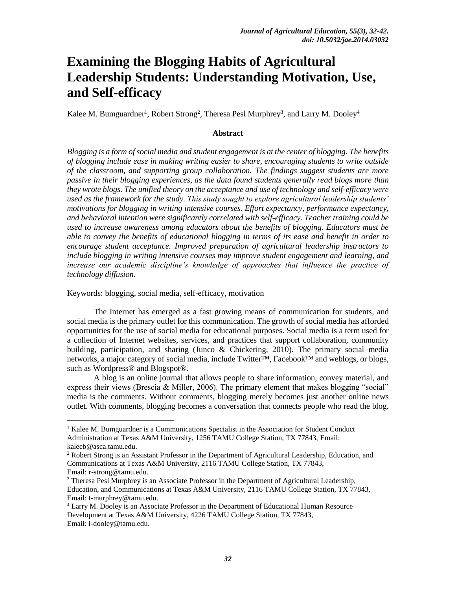# **Examining the Blogging Habits of Agricultural Leadership Students: Understanding Motivation, Use, and Self-efficacy**

Kalee M. Bumguardner<sup>1</sup>, Robert Strong<sup>2</sup>, Theresa Pesl Murphrey<sup>3</sup>, and Larry M. Dooley<sup>4</sup>

## **Abstract**

*Blogging is a form of social media and student engagement is at the center of blogging. The benefits of blogging include ease in making writing easier to share, encouraging students to write outside of the classroom, and supporting group collaboration. The findings suggest students are more passive in their blogging experiences, as the data found students generally read blogs more than they wrote blogs. The unified theory on the acceptance and use of technology and self-efficacy were used as the framework for the study. This study sought to explore agricultural leadership students' motivations for blogging in writing intensive courses. Effort expectancy, performance expectancy, and behavioral intention were significantly correlated with self-efficacy. Teacher training could be used to increase awareness among educators about the benefits of blogging. Educators must be able to convey the benefits of educational blogging in terms of its ease and benefit in order to encourage student acceptance. Improved preparation of agricultural leadership instructors to include blogging in writing intensive courses may improve student engagement and learning, and increase our academic discipline's knowledge of approaches that influence the practice of technology diffusion.*

Keywords: blogging, social media, self-efficacy, motivation

 $\overline{a}$ 

The Internet has emerged as a fast growing means of communication for students, and social media is the primary outlet for this communication. The growth of social media has afforded opportunities for the use of social media for educational purposes. Social media is a term used for a collection of Internet websites, services, and practices that support collaboration, community building, participation, and sharing (Junco & Chickering, 2010). The primary social media networks, a major category of social media, include Twitter™, Facebook™ and weblogs, or blogs, such as Wordpress® and Blogspot®.

A blog is an online journal that allows people to share information, convey material, and express their views (Brescia & Miller, 2006). The primary element that makes blogging "social" media is the comments. Without comments, blogging merely becomes just another online news outlet. With comments, blogging becomes a conversation that connects people who read the blog.

<sup>&</sup>lt;sup>1</sup> Kalee M. Bumguardner is a Communications Specialist in the Association for Student Conduct Administration at Texas A&M University, 1256 TAMU College Station, TX 77843, Email: kaleeb@asca.tamu.edu.

<sup>&</sup>lt;sup>2</sup> Robert Strong is an Assistant Professor in the Department of Agricultural Leadership, Education, and Communications at Texas A&M University, 2116 TAMU College Station, TX 77843, Email: r-strong@tamu.edu.

<sup>&</sup>lt;sup>3</sup> Theresa Pesl Murphrey is an Associate Professor in the Department of Agricultural Leadership, Education, and Communications at Texas A&M University, 2116 TAMU College Station, TX 77843, Email: t-murphrey@tamu.edu.

<sup>4</sup> Larry M. Dooley is an Associate Professor in the Department of Educational Human Resource Development at Texas A&M University, 4226 TAMU College Station, TX 77843, Email: l-dooley@tamu.edu.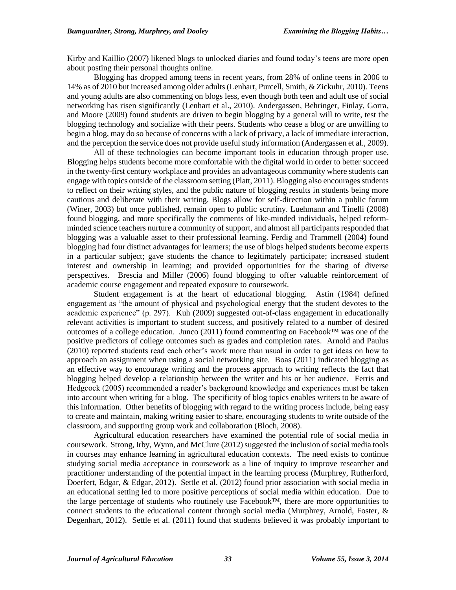Kirby and Kaillio (2007) likened blogs to unlocked diaries and found today's teens are more open about posting their personal thoughts online.

Blogging has dropped among teens in recent years, from 28% of online teens in 2006 to 14% as of 2010 but increased among older adults (Lenhart, Purcell, Smith, & Zickuhr, 2010). Teens and young adults are also commenting on blogs less, even though both teen and adult use of social networking has risen significantly (Lenhart et al., 2010). Andergassen, Behringer, Finlay, Gorra, and Moore (2009) found students are driven to begin blogging by a general will to write, test the blogging technology and socialize with their peers. Students who cease a blog or are unwilling to begin a blog, may do so because of concerns with a lack of privacy, a lack of immediate interaction, and the perception the service does not provide useful study information (Andergassen et al., 2009).

All of these technologies can become important tools in education through proper use. Blogging helps students become more comfortable with the digital world in order to better succeed in the twenty-first century workplace and provides an advantageous community where students can engage with topics outside of the classroom setting (Platt, 2011). Blogging also encourages students to reflect on their writing styles, and the public nature of blogging results in students being more cautious and deliberate with their writing. Blogs allow for self-direction within a public forum (Winer, 2003) but once published, remain open to public scrutiny. Luehmann and Tinelli (2008) found blogging, and more specifically the comments of like-minded individuals, helped reformminded science teachers nurture a community of support, and almost all participants responded that blogging was a valuable asset to their professional learning. Ferdig and Trammell (2004) found blogging had four distinct advantages for learners; the use of blogs helped students become experts in a particular subject; gave students the chance to legitimately participate; increased student interest and ownership in learning; and provided opportunities for the sharing of diverse perspectives. Brescia and Miller (2006) found blogging to offer valuable reinforcement of academic course engagement and repeated exposure to coursework.

Student engagement is at the heart of educational blogging. Astin (1984) defined engagement as "the amount of physical and psychological energy that the student devotes to the academic experience" (p. 297). Kuh (2009) suggested out-of-class engagement in educationally relevant activities is important to student success, and positively related to a number of desired outcomes of a college education. Junco (2011) found commenting on Facebook™ was one of the positive predictors of college outcomes such as grades and completion rates. Arnold and Paulus (2010) reported students read each other's work more than usual in order to get ideas on how to approach an assignment when using a social networking site. Boas (2011) indicated blogging as an effective way to encourage writing and the process approach to writing reflects the fact that blogging helped develop a relationship between the writer and his or her audience. Ferris and Hedgcock (2005) recommended a reader's background knowledge and experiences must be taken into account when writing for a blog. The specificity of blog topics enables writers to be aware of this information. Other benefits of blogging with regard to the writing process include, being easy to create and maintain, making writing easier to share, encouraging students to write outside of the classroom, and supporting group work and collaboration (Bloch, 2008).

Agricultural education researchers have examined the potential role of social media in coursework. Strong, Irby, Wynn, and McClure (2012) suggested the inclusion of social media tools in courses may enhance learning in agricultural education contexts. The need exists to continue studying social media acceptance in coursework as a line of inquiry to improve researcher and practitioner understanding of the potential impact in the learning process (Murphrey, Rutherford, Doerfert, Edgar, & Edgar, 2012). Settle et al. (2012) found prior association with social media in an educational setting led to more positive perceptions of social media within education. Due to the large percentage of students who routinely use Facebook™, there are more opportunities to connect students to the educational content through social media (Murphrey, Arnold, Foster, & Degenhart, 2012). Settle et al. (2011) found that students believed it was probably important to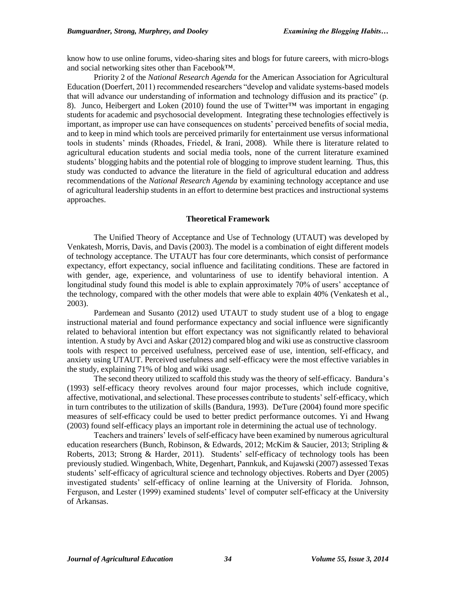know how to use online forums, video-sharing sites and blogs for future careers, with micro-blogs and social networking sites other than Facebook™.

Priority 2 of the *National Research Agenda* for the American Association for Agricultural Education (Doerfert, 2011) recommended researchers "develop and validate systems-based models that will advance our understanding of information and technology diffusion and its practice" (p. 8). Junco, Heibergert and Loken (2010) found the use of Twitter™ was important in engaging students for academic and psychosocial development. Integrating these technologies effectively is important, as improper use can have consequences on students' perceived benefits of social media, and to keep in mind which tools are perceived primarily for entertainment use versus informational tools in students' minds (Rhoades, Friedel, & Irani, 2008). While there is literature related to agricultural education students and social media tools, none of the current literature examined students' blogging habits and the potential role of blogging to improve student learning. Thus, this study was conducted to advance the literature in the field of agricultural education and address recommendations of the *National Research Agenda* by examining technology acceptance and use of agricultural leadership students in an effort to determine best practices and instructional systems approaches.

## **Theoretical Framework**

The Unified Theory of Acceptance and Use of Technology (UTAUT) was developed by Venkatesh, Morris, Davis, and Davis (2003). The model is a combination of eight different models of technology acceptance. The UTAUT has four core determinants, which consist of performance expectancy, effort expectancy, social influence and facilitating conditions. These are factored in with gender, age, experience, and voluntariness of use to identify behavioral intention. A longitudinal study found this model is able to explain approximately 70% of users' acceptance of the technology, compared with the other models that were able to explain 40% (Venkatesh et al., 2003).

Pardemean and Susanto (2012) used UTAUT to study student use of a blog to engage instructional material and found performance expectancy and social influence were significantly related to behavioral intention but effort expectancy was not significantly related to behavioral intention. A study by Avci and Askar (2012) compared blog and wiki use as constructive classroom tools with respect to perceived usefulness, perceived ease of use, intention, self-efficacy, and anxiety using UTAUT. Perceived usefulness and self-efficacy were the most effective variables in the study, explaining 71% of blog and wiki usage.

The second theory utilized to scaffold this study was the theory of self-efficacy. Bandura's (1993) self-efficacy theory revolves around four major processes, which include cognitive, affective, motivational, and selectional. These processes contribute to students' self-efficacy, which in turn contributes to the utilization of skills (Bandura, 1993). DeTure (2004) found more specific measures of self-efficacy could be used to better predict performance outcomes. Yi and Hwang (2003) found self-efficacy plays an important role in determining the actual use of technology.

Teachers and trainers' levels of self-efficacy have been examined by numerous agricultural education researchers (Bunch, Robinson, & Edwards, 2012; McKim & Saucier, 2013; Stripling & Roberts, 2013; Strong & Harder, 2011). Students' self-efficacy of technology tools has been previously studied. Wingenbach, White, Degenhart, Pannkuk, and Kujawski (2007) assessed Texas students' self-efficacy of agricultural science and technology objectives. Roberts and Dyer (2005) investigated students' self-efficacy of online learning at the University of Florida. Johnson, Ferguson, and Lester (1999) examined students' level of computer self-efficacy at the University of Arkansas.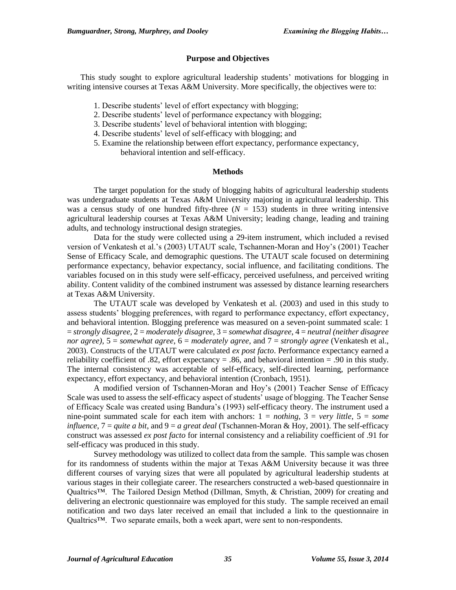## **Purpose and Objectives**

This study sought to explore agricultural leadership students' motivations for blogging in writing intensive courses at Texas A&M University. More specifically, the objectives were to:

- 1. Describe students' level of effort expectancy with blogging;
- 2. Describe students' level of performance expectancy with blogging;
- 3. Describe students' level of behavioral intention with blogging;
- 4. Describe students' level of self-efficacy with blogging; and
- 5. Examine the relationship between effort expectancy, performance expectancy, behavioral intention and self-efficacy.

## **Methods**

The target population for the study of blogging habits of agricultural leadership students was undergraduate students at Texas A&M University majoring in agricultural leadership. This was a census study of one hundred fifty-three  $(N = 153)$  students in three writing intensive agricultural leadership courses at Texas A&M University; leading change, leading and training adults, and technology instructional design strategies.

Data for the study were collected using a 29-item instrument, which included a revised version of Venkatesh et al.'s (2003) UTAUT scale, Tschannen-Moran and Hoy's (2001) Teacher Sense of Efficacy Scale, and demographic questions. The UTAUT scale focused on determining performance expectancy, behavior expectancy, social influence, and facilitating conditions. The variables focused on in this study were self-efficacy, perceived usefulness, and perceived writing ability. Content validity of the combined instrument was assessed by distance learning researchers at Texas A&M University.

The UTAUT scale was developed by Venkatesh et al. (2003) and used in this study to assess students' blogging preferences, with regard to performance expectancy, effort expectancy, and behavioral intention. Blogging preference was measured on a seven-point summated scale: 1 = *strongly disagree*, 2 = *moderately disagree*, 3 = *somewhat disagree*, 4 = *neutral (neither disagree nor agree)*, 5 = *somewhat agree*, 6 = *moderately agree*, and 7 = *strongly agree* (Venkatesh et al., 2003). Constructs of the UTAUT were calculated *ex post facto*. Performance expectancy earned a reliability coefficient of .82, effort expectancy  $= .86$ , and behavioral intention  $= .90$  in this study. The internal consistency was acceptable of self-efficacy, self-directed learning, performance expectancy, effort expectancy, and behavioral intention (Cronbach, 1951).

A modified version of Tschannen-Moran and Hoy's (2001) Teacher Sense of Efficacy Scale was used to assess the self-efficacy aspect of students' usage of blogging. The Teacher Sense of Efficacy Scale was created using Bandura's (1993) self-efficacy theory. The instrument used a nine-point summated scale for each item with anchors: 1 = *nothing*, 3 = *very little*, 5 = *some influence*, 7 = *quite a bit*, and 9 = *a great deal* (Tschannen-Moran & Hoy, 2001). The self-efficacy construct was assessed *ex post facto* for internal consistency and a reliability coefficient of .91 for self-efficacy was produced in this study.

Survey methodology was utilized to collect data from the sample. This sample was chosen for its randomness of students within the major at Texas A&M University because it was three different courses of varying sizes that were all populated by agricultural leadership students at various stages in their collegiate career. The researchers constructed a web-based questionnaire in Qualtrics™. The Tailored Design Method (Dillman, Smyth, & Christian, 2009) for creating and delivering an electronic questionnaire was employed for this study. The sample received an email notification and two days later received an email that included a link to the questionnaire in Qualtrics™. Two separate emails, both a week apart, were sent to non-respondents.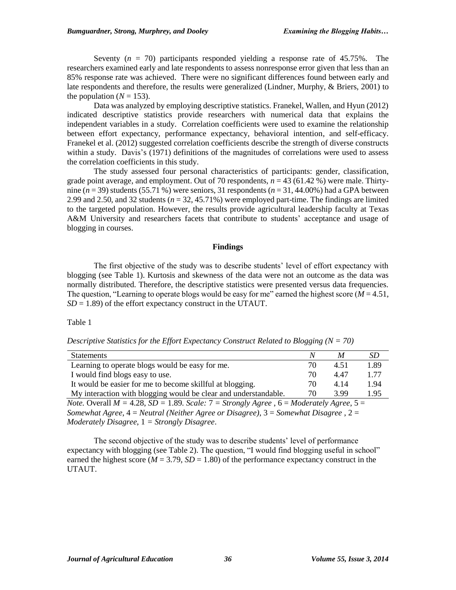Seventy (*n* = 70) participants responded yielding a response rate of 45.75%. The researchers examined early and late respondents to assess nonresponse error given that less than an 85% response rate was achieved. There were no significant differences found between early and late respondents and therefore, the results were generalized (Lindner, Murphy, & Briers, 2001) to the population  $(N = 153)$ .

Data was analyzed by employing descriptive statistics. Franekel, Wallen, and Hyun (2012) indicated descriptive statistics provide researchers with numerical data that explains the independent variables in a study. Correlation coefficients were used to examine the relationship between effort expectancy, performance expectancy, behavioral intention, and self-efficacy. Franekel et al. (2012) suggested correlation coefficients describe the strength of diverse constructs within a study. Davis's (1971) definitions of the magnitudes of correlations were used to assess the correlation coefficients in this study.

The study assessed four personal characteristics of participants: gender, classification, grade point average, and employment. Out of 70 respondents,  $n = 43$  (61.42 %) were male. Thirtynine ( $n = 39$ ) students (55.71 %) were seniors, 31 respondents ( $n = 31, 44.00\%$ ) had a GPA between 2.99 and 2.50, and 32 students  $(n = 32, 45.71\%)$  were employed part-time. The findings are limited to the targeted population. However, the results provide agricultural leadership faculty at Texas A&M University and researchers facets that contribute to students' acceptance and usage of blogging in courses.

#### **Findings**

The first objective of the study was to describe students' level of effort expectancy with blogging (see Table 1). Kurtosis and skewness of the data were not an outcome as the data was normally distributed. Therefore, the descriptive statistics were presented versus data frequencies. The question, "Learning to operate blogs would be easy for me" earned the highest score ( $M = 4.51$ ,  $SD = 1.89$ ) of the effort expectancy construct in the UTAUT.

Table 1

*Descriptive Statistics for the Effort Expectancy Construct Related to Blogging (N = 70)*

| <b>Statements</b>                                                                                                                                                                                                                                                                                              |     |      | SD   |
|----------------------------------------------------------------------------------------------------------------------------------------------------------------------------------------------------------------------------------------------------------------------------------------------------------------|-----|------|------|
| Learning to operate blogs would be easy for me.                                                                                                                                                                                                                                                                | 70. | 4.51 | 1.89 |
| I would find blogs easy to use.                                                                                                                                                                                                                                                                                | 70. | 4.47 | 1.77 |
| It would be easier for me to become skillful at blogging.                                                                                                                                                                                                                                                      | 70. | 4.14 | 1.94 |
| My interaction with blogging would be clear and understandable.                                                                                                                                                                                                                                                | 70  | 3.99 | 1.95 |
| $\mathcal{M}$ . Only 100 and 100 and $\mathcal{M}$ and $\mathcal{M}$ and $\mathcal{M}$ and $\mathcal{M}$ and $\mathcal{M}$ and $\mathcal{M}$ and $\mathcal{M}$ and $\mathcal{M}$ and $\mathcal{M}$ and $\mathcal{M}$ and $\mathcal{M}$ and $\mathcal{M}$ and $\mathcal{M}$ and $\mathcal{M}$ and $\mathcal{M}$ |     |      |      |

*Note.* Overall  $M = 4.28$ ,  $SD = 1.89$ . *Scale:*  $7 = \frac{Strongly \, Agee}{\Lambda}$ ,  $6 = \frac{Moderately \, Agee}{\Lambda}$ ,  $5 =$ *Somewhat Agree*, 4 = *Neutral (Neither Agree or Disagree)*, 3 = *Somewhat Disagree* , 2 = *Moderately Disagree*, 1 *= Strongly Disagree*.

The second objective of the study was to describe students' level of performance expectancy with blogging (see Table 2). The question, "I would find blogging useful in school" earned the highest score ( $M = 3.79$ ,  $SD = 1.80$ ) of the performance expectancy construct in the UTAUT.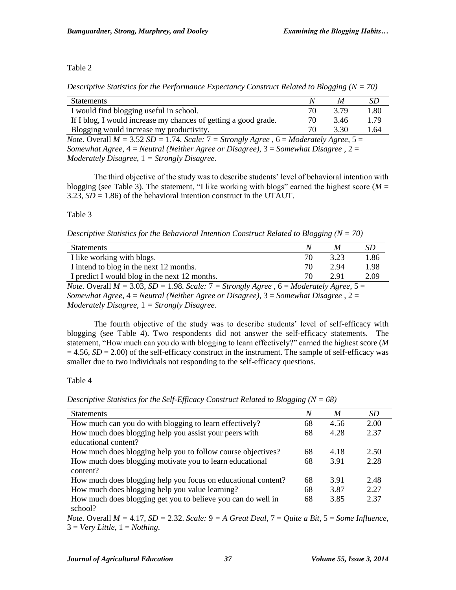# Table 2

*Descriptive Statistics for the Performance Expectancy Construct Related to Blogging (N = 70)*

| <b>Statements</b>                                                                                     | N   | M    | SD   |
|-------------------------------------------------------------------------------------------------------|-----|------|------|
| I would find blogging useful in school.                                                               | 70  | 3.79 | 1.80 |
| If I blog, I would increase my chances of getting a good grade.                                       | 70  | 3.46 | 1.79 |
| Blogging would increase my productivity.                                                              | 70. | 3.30 | 1.64 |
| <i>Note.</i> Overall $M = 3.52$ SD = 1.74. Scale: $7 =$ Strongly Agree, $6 =$ Moderately Agree, $5 =$ |     |      |      |
| Somewhat Agree, $4 =$ Neutral (Neither Agree or Disagree), $3 =$ Somewhat Disagree, $2 =$             |     |      |      |

*Moderately Disagree*, 1 *= Strongly Disagree*.

The third objective of the study was to describe students' level of behavioral intention with blogging (see Table 3). The statement, "I like working with blogs" earned the highest score ( $M =$ 3.23,  $SD = 1.86$ ) of the behavioral intention construct in the UTAUT.

# Table 3

*Descriptive Statistics for the Behavioral Intention Construct Related to Blogging (N = 70)*

| <b>Statements</b>                                                |             |      |      |
|------------------------------------------------------------------|-------------|------|------|
| I like working with blogs.                                       | 70          | 3.23 | .86  |
| I intend to blog in the next 12 months.                          | 70          | 2.94 | l.98 |
| I predict I would blog in the next 12 months.                    | 70          | 2.91 | 2.09 |
| $1111$ $0.02$ $0.02$ $1.00$ $0.1$ $0.7$<br>$\mathbf{v}$ $\alpha$ | $\sim$ 11 1 |      |      |

*Note.* Overall  $M = 3.03$ ,  $SD = 1.98$ . *Scale:*  $7 =$  *Strongly Agree*,  $6 =$  *Moderately Agree*,  $5 =$ *Somewhat Agree*, 4 = *Neutral (Neither Agree or Disagree)*, 3 = *Somewhat Disagree* , 2 = *Moderately Disagree*, 1 *= Strongly Disagree*.

The fourth objective of the study was to describe students' level of self-efficacy with blogging (see Table 4). Two respondents did not answer the self-efficacy statements. The statement, "How much can you do with blogging to learn effectively?" earned the highest score (*M*  $= 4.56$ ,  $SD = 2.00$ ) of the self-efficacy construct in the instrument. The sample of self-efficacy was smaller due to two individuals not responding to the self-efficacy questions.

# Table 4

*Descriptive Statistics for the Self-Efficacy Construct Related to Blogging (N = 68)*

| <b>Statements</b>                                             | N  | M    | SD.  |
|---------------------------------------------------------------|----|------|------|
| How much can you do with blogging to learn effectively?       | 68 | 4.56 | 2.00 |
| How much does blogging help you assist your peers with        | 68 | 4.28 | 2.37 |
| educational content?                                          |    |      |      |
| How much does blogging help you to follow course objectives?  | 68 | 4.18 | 2.50 |
| How much does blogging motivate you to learn educational      | 68 | 3.91 | 2.28 |
| content?                                                      |    |      |      |
| How much does blogging help you focus on educational content? | 68 | 3.91 | 2.48 |
| How much does blogging help you value learning?               | 68 | 3.87 | 2.27 |
| How much does blogging get you to believe you can do well in  | 68 | 3.85 | 2.37 |
| school?                                                       |    |      |      |

*Note.* Overall *M =* 4.17, *SD =* 2.32. *Scale:* 9 *= A Great Deal*, 7 = *Quite a Bit*, 5 = *Some Influence*,  $3 = Very Little, 1 = Nothing.$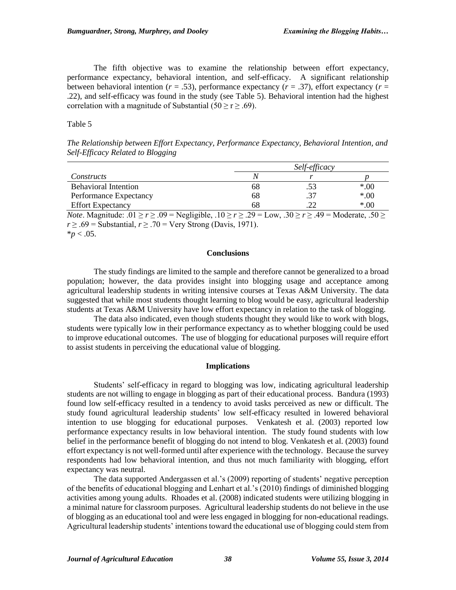The fifth objective was to examine the relationship between effort expectancy, performance expectancy, behavioral intention, and self-efficacy. A significant relationship between behavioral intention ( $r = .53$ ), performance expectancy ( $r = .37$ ), effort expectancy ( $r =$ .22), and self-efficacy was found in the study (see Table 5). Behavioral intention had the highest correlation with a magnitude of Substantial (50  $\ge$  r  $\ge$  .69).

Table 5

*The Relationship between Effort Expectancy, Performance Expectancy, Behavioral Intention, and Self-Efficacy Related to Blogging*

|                                                                                                                                                |    | Self-efficacy |       |  |
|------------------------------------------------------------------------------------------------------------------------------------------------|----|---------------|-------|--|
| Constructs                                                                                                                                     | N  |               |       |  |
| <b>Behavioral Intention</b>                                                                                                                    | 68 |               | $*00$ |  |
| Performance Expectancy                                                                                                                         | 68 |               | $*00$ |  |
| <b>Effort Expectancy</b>                                                                                                                       | 68 |               | $*00$ |  |
| $M_{\odot}$ M, $M_{\odot}$ , $M_{\odot}$ $\sim$ 01 $\times$ 00 $-$ M, $M_{\odot}$ 1.1, 10 $\times$ 00 $-$ J, $M_{\odot}$ 00 $-$ M, 1, 1, 1, 10 |    |               |       |  |

*Note*. Magnitude: .01 ≥ *r* ≥ .09 = Negligible, .10 ≥ *r* ≥ .29 = Low, .30 ≥ *r* ≥ .49 = Moderate, .50 ≥  $r \geq .69$  = Substantial,  $r \geq .70$  = Very Strong (Davis, 1971).

 $*$ *p* < .05.

#### **Conclusions**

The study findings are limited to the sample and therefore cannot be generalized to a broad population; however, the data provides insight into blogging usage and acceptance among agricultural leadership students in writing intensive courses at Texas A&M University. The data suggested that while most students thought learning to blog would be easy, agricultural leadership students at Texas A&M University have low effort expectancy in relation to the task of blogging.

The data also indicated, even though students thought they would like to work with blogs, students were typically low in their performance expectancy as to whether blogging could be used to improve educational outcomes. The use of blogging for educational purposes will require effort to assist students in perceiving the educational value of blogging.

#### **Implications**

Students' self-efficacy in regard to blogging was low, indicating agricultural leadership students are not willing to engage in blogging as part of their educational process. Bandura (1993) found low self-efficacy resulted in a tendency to avoid tasks perceived as new or difficult. The study found agricultural leadership students' low self-efficacy resulted in lowered behavioral intention to use blogging for educational purposes. Venkatesh et al. (2003) reported low performance expectancy results in low behavioral intention. The study found students with low belief in the performance benefit of blogging do not intend to blog. Venkatesh et al. (2003) found effort expectancy is not well-formed until after experience with the technology. Because the survey respondents had low behavioral intention, and thus not much familiarity with blogging, effort expectancy was neutral.

The data supported Andergassen et al.'s (2009) reporting of students' negative perception of the benefits of educational blogging and Lenhart et al.'s (2010) findings of diminished blogging activities among young adults. Rhoades et al. (2008) indicated students were utilizing blogging in a minimal nature for classroom purposes. Agricultural leadership students do not believe in the use of blogging as an educational tool and were less engaged in blogging for non-educational readings. Agricultural leadership students' intentions toward the educational use of blogging could stem from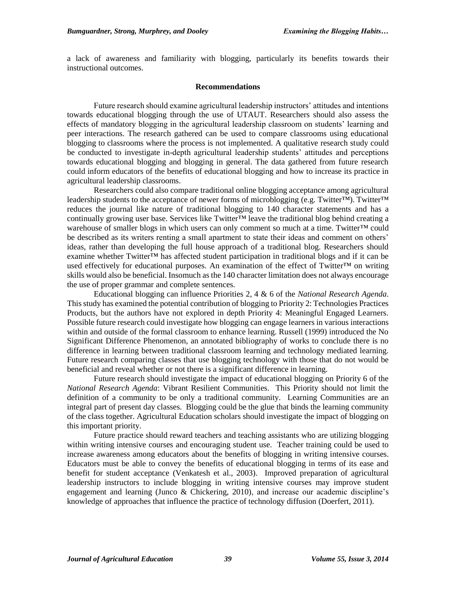a lack of awareness and familiarity with blogging, particularly its benefits towards their instructional outcomes.

## **Recommendations**

Future research should examine agricultural leadership instructors' attitudes and intentions towards educational blogging through the use of UTAUT. Researchers should also assess the effects of mandatory blogging in the agricultural leadership classroom on students' learning and peer interactions. The research gathered can be used to compare classrooms using educational blogging to classrooms where the process is not implemented. A qualitative research study could be conducted to investigate in-depth agricultural leadership students' attitudes and perceptions towards educational blogging and blogging in general. The data gathered from future research could inform educators of the benefits of educational blogging and how to increase its practice in agricultural leadership classrooms.

Researchers could also compare traditional online blogging acceptance among agricultural leadership students to the acceptance of newer forms of microblogging (e.g. Twitter™). Twitter™ reduces the journal like nature of traditional blogging to 140 character statements and has a continually growing user base. Services like Twitter<sup>™</sup> leave the traditional blog behind creating a warehouse of smaller blogs in which users can only comment so much at a time. Twitter™ could be described as its writers renting a small apartment to state their ideas and comment on others' ideas, rather than developing the full house approach of a traditional blog. Researchers should examine whether Twitter™ has affected student participation in traditional blogs and if it can be used effectively for educational purposes. An examination of the effect of Twitter™ on writing skills would also be beneficial. Insomuch as the 140 character limitation does not always encourage the use of proper grammar and complete sentences.

Educational blogging can influence Priorities 2, 4 & 6 of the *National Research Agenda*. Thisstudy has examined the potential contribution of blogging to Priority 2: Technologies Practices Products, but the authors have not explored in depth Priority 4: Meaningful Engaged Learners. Possible future research could investigate how blogging can engage learners in various interactions within and outside of the formal classroom to enhance learning. Russell (1999) introduced the No Significant Difference Phenomenon, an annotated bibliography of works to conclude there is no difference in learning between traditional classroom learning and technology mediated learning. Future research comparing classes that use blogging technology with those that do not would be beneficial and reveal whether or not there is a significant difference in learning.

Future research should investigate the impact of educational blogging on Priority 6 of the *National Research Agenda*: Vibrant Resilient Communities. This Priority should not limit the definition of a community to be only a traditional community. Learning Communities are an integral part of present day classes. Blogging could be the glue that binds the learning community of the class together. Agricultural Education scholars should investigate the impact of blogging on this important priority.

Future practice should reward teachers and teaching assistants who are utilizing blogging within writing intensive courses and encouraging student use. Teacher training could be used to increase awareness among educators about the benefits of blogging in writing intensive courses. Educators must be able to convey the benefits of educational blogging in terms of its ease and benefit for student acceptance (Venkatesh et al., 2003). Improved preparation of agricultural leadership instructors to include blogging in writing intensive courses may improve student engagement and learning (Junco & Chickering, 2010), and increase our academic discipline's knowledge of approaches that influence the practice of technology diffusion (Doerfert, 2011).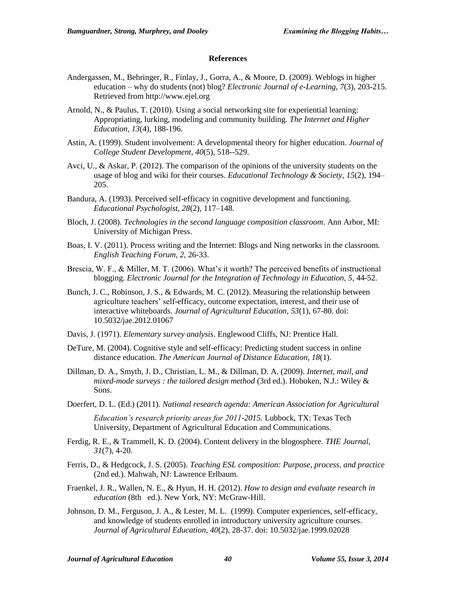#### **References**

- Andergassen, M., Behringer, R., Finlay, J., Gorra, A., & Moore, D. (2009). Weblogs in higher education – why do students (not) blog? *Electronic Journal of e-Learning, 7*(3), 203-215. Retrieved from http://www.ejel.org
- Arnold, N., & Paulus, T. (2010). Using a social networking site for experiential learning: Appropriating, lurking, modeling and community building. *The Internet and Higher Education, 13*(4), 188-196.
- Astin, A. (1999). Student involvement: A developmental theory for higher education. *Journal of College Student Development, 40*(5), 518--529.
- Avci, U., & Askar, P. (2012). The comparison of the opinions of the university students on the usage of blog and wiki for their courses. *Educational Technology & Society*, *15*(2), 194– 205.
- Bandura, A. (1993). Perceived self-efficacy in cognitive development and functioning. *Educational Psychologist, 28*(2), 117–148.
- Bloch, J. (2008). *Technologies in the second language composition classroom*. Ann Arbor, MI: University of Michigan Press.
- Boas, I. V. (2011). Process writing and the Internet: Blogs and Ning networks in the classroom. *English Teaching Forum, 2*, 26-33.
- Brescia, W. F., & Miller, M. T. (2006). What's it worth? The perceived benefits of instructional blogging. *Electronic Journal for the Integration of Technology in Education, 5*, 44-52.
- Bunch, J. C., Robinson, J. S., & Edwards, M. C. (2012). Measuring the relationship between agriculture teachers' self-efficacy, outcome expectation, interest, and their use of interactive whiteboards. *Journal of Agricultural Education, 53*(1), 67-80. doi: 10.5032/jae.2012.01067
- Davis, J. (1971). *Elementary survey analysis*. Englewood Cliffs, NJ: Prentice Hall.
- DeTure, M. (2004). Cognitive style and self-efficacy: Predicting student success in online distance education. *The American Journal of Distance Education, 18*(1).
- Dillman, D. A., Smyth, J. D., Christian, L. M., & Dillman, D. A. (2009). *Internet, mail, and mixed-mode surveys : the tailored design method* (3rd ed.). Hoboken, N.J.: Wiley & Sons.
- Doerfert, D. L. (Ed.) (2011). *National research agenda: American Association for Agricultural Education's research priority areas for 2011-2015.* Lubbock, TX: Texas Tech University, Department of Agricultural Education and Communications.
- Ferdig, R. E., & Trammell, K. D. (2004). Content delivery in the blogosphere. *THE Journal, 31*(7), 4-20.
- Ferris, D., & Hedgcock, J. S. (2005). *Teaching ESL composition: Purpose, process, and practice* (2nd ed.). Mahwah, NJ: Lawrence Erlbaum.
- Fraenkel, J. R., Wallen, N. E., & Hyun, H. H. (2012). *How to design and evaluate research in education* (8th ed.). New York, NY: McGraw-Hill.
- Johnson, D. M., Ferguson, J. A., & Lester, M. L. (1999). Computer experiences, self-efficacy, and knowledge of students enrolled in introductory university agriculture courses. *Journal of Agricultural Education, 40*(2), 28-37. doi: 10.5032/jae.1999.02028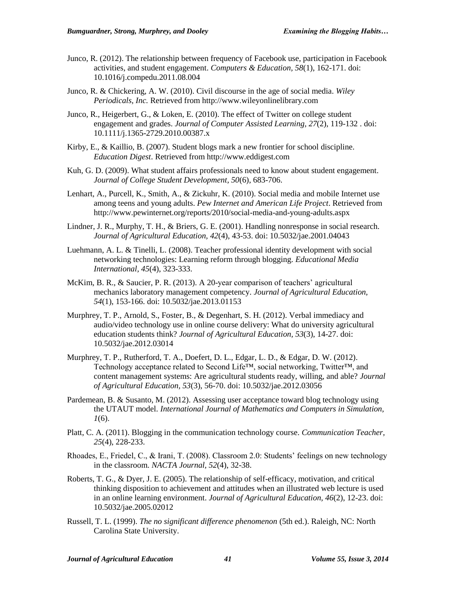- Junco, R. (2012). The relationship between frequency of Facebook use, participation in Facebook activities, and student engagement. *Computers & Education, 58*(1), 162-171. doi: 10.1016/j.compedu.2011.08.004
- Junco, R. & Chickering, A. W. (2010). Civil discourse in the age of social media. *Wiley Periodicals, Inc.* Retrieved from http://www.wileyonlinelibrary.com
- Junco, R., Heigerbert, G., & Loken, E. (2010). The effect of Twitter on college student engagement and grades. *Journal of Computer Assisted Learning, 27*(2), 119-132 . doi: 10.1111/j.1365-2729.2010.00387.x
- Kirby, E., & Kaillio, B. (2007). Student blogs mark a new frontier for school discipline. *Education Digest*. Retrieved from http://www.eddigest.com
- Kuh, G. D. (2009). What student affairs professionals need to know about student engagement. *Journal of College Student Development, 50*(6), 683-706.
- Lenhart, A., Purcell, K., Smith, A., & Zickuhr, K. (2010). Social media and mobile Internet use among teens and young adults. *Pew Internet and American Life Project*. Retrieved from http://www.pewinternet.org/reports/2010/social-media-and-young-adults.aspx
- Lindner, J. R., Murphy, T. H., & Briers, G. E. (2001). Handling nonresponse in social research. *Journal of Agricultural Education, 42*(4), 43-53. doi: 10.5032/jae.2001.04043
- Luehmann, A. L. & Tinelli, L. (2008). Teacher professional identity development with social networking technologies: Learning reform through blogging. *Educational Media International, 45*(4), 323-333.
- McKim, B. R., & Saucier, P. R. (2013). A 20-year comparison of teachers' agricultural mechanics laboratory management competency. *Journal of Agricultural Education, 54*(1), 153-166. doi: 10.5032/jae.2013.01153
- Murphrey, T. P., Arnold, S., Foster, B., & Degenhart, S. H. (2012). Verbal immediacy and audio/video technology use in online course delivery: What do university agricultural education students think? *Journal of Agricultural Education, 53*(3), 14-27. doi: 10.5032/jae.2012.03014
- Murphrey, T. P., Rutherford, T. A., Doefert, D. L., Edgar, L. D., & Edgar, D. W. (2012). Technology acceptance related to Second Life<sup>™</sup>, social networking, Twitter<sup>™</sup>, and content management systems: Are agricultural students ready, willing, and able? *Journal of Agricultural Education, 53*(3), 56-70. doi: 10.5032/jae.2012.03056
- Pardemean, B. & Susanto, M. (2012). Assessing user acceptance toward blog technology using the UTAUT model. *International Journal of Mathematics and Computers in Simulation, 1*(6).
- Platt, C. A. (2011). Blogging in the communication technology course. *Communication Teacher, 25*(4), 228-233.
- Rhoades, E., Friedel, C., & Irani, T. (2008). Classroom 2.0: Students' feelings on new technology in the classroom. *NACTA Journal, 52*(4), 32-38.
- Roberts, T. G., & Dyer, J. E. (2005). The relationship of self-efficacy, motivation, and critical thinking disposition to achievement and attitudes when an illustrated web lecture is used in an online learning environment. *Journal of Agricultural Education, 46*(2), 12-23. doi: 10.5032/jae.2005.02012
- Russell, T. L. (1999). *The no significant difference phenomenon* (5th ed.). Raleigh, NC: North Carolina State University.